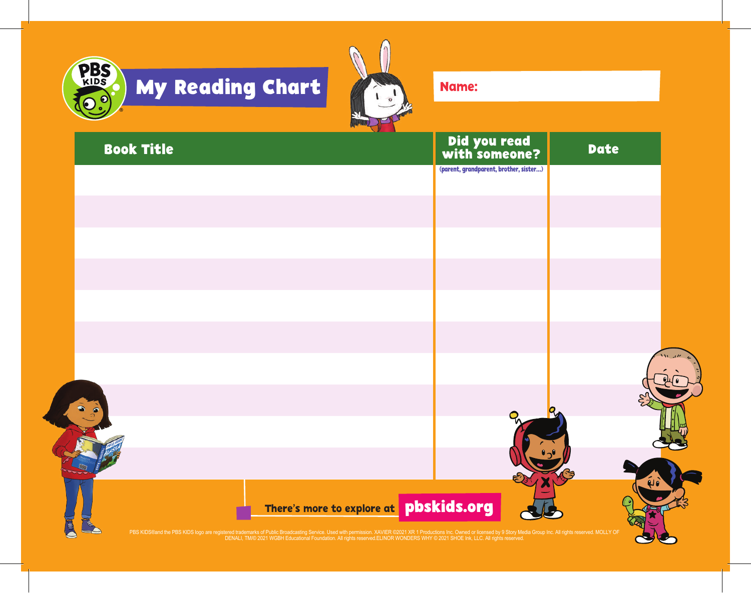



Name:

| <b>Book Title</b> |                                                                                                                                                                                                                                   | Did you read<br>with someone?          | <b>Date</b> |
|-------------------|-----------------------------------------------------------------------------------------------------------------------------------------------------------------------------------------------------------------------------------|----------------------------------------|-------------|
|                   |                                                                                                                                                                                                                                   | (parent, grandparent, brother, sister) |             |
|                   |                                                                                                                                                                                                                                   |                                        |             |
|                   |                                                                                                                                                                                                                                   |                                        |             |
|                   |                                                                                                                                                                                                                                   |                                        |             |
|                   |                                                                                                                                                                                                                                   |                                        |             |
|                   |                                                                                                                                                                                                                                   |                                        |             |
|                   |                                                                                                                                                                                                                                   |                                        |             |
|                   |                                                                                                                                                                                                                                   |                                        |             |
|                   |                                                                                                                                                                                                                                   |                                        |             |
|                   |                                                                                                                                                                                                                                   |                                        |             |
|                   |                                                                                                                                                                                                                                   |                                        |             |
|                   |                                                                                                                                                                                                                                   |                                        |             |
|                   |                                                                                                                                                                                                                                   |                                        |             |
|                   |                                                                                                                                                                                                                                   |                                        |             |
|                   | There's more to explore at <b>pbskids.org</b>                                                                                                                                                                                     |                                        |             |
|                   | PBS KIDS@and the PBS KIDS logo are registered trademarks of Public Broadcasting Service. Used with permission. XAVIER ©2021 XR 1 Productions Inc. Owned or licensed by 9 Story Media Group Inc. All rights reserved. MOLLY OF<br> |                                        |             |